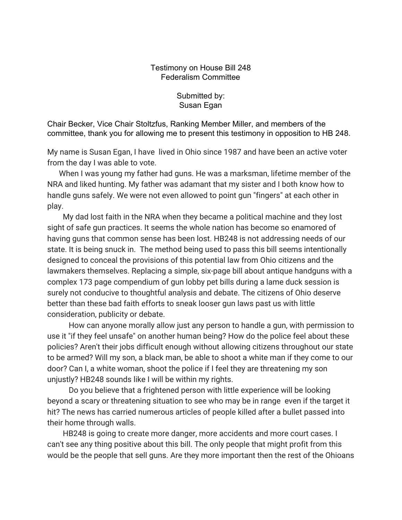## Testimony on House Bill 248 Federalism Committee

Submitted by: Susan Egan

Chair Becker, Vice Chair Stoltzfus, Ranking Member Miller, and members of the committee, thank you for allowing me to present this testimony in opposition to HB 248.

My name is Susan Egan, I have lived in Ohio since 1987 and have been an active voter from the day I was able to vote.

 When I was young my father had guns. He was a marksman, lifetime member of the NRA and liked hunting. My father was adamant that my sister and I both know how to handle guns safely. We were not even allowed to point gun "fingers" at each other in play.

 My dad lost faith in the NRA when they became a political machine and they lost sight of safe gun practices. It seems the whole nation has become so enamored of having guns that common sense has been lost. HB248 is not addressing needs of our state. It is being snuck in. The method being used to pass this bill seems intentionally designed to conceal the provisions of this potential law from Ohio citizens and the lawmakers themselves. Replacing a simple, six-page bill about antique handguns with a complex 173 page compendium of gun lobby pet bills during a lame duck session is surely not conducive to thoughtful analysis and debate. The citizens of Ohio deserve better than these bad faith efforts to sneak looser gun laws past us with little consideration, publicity or debate.

 How can anyone morally allow just any person to handle a gun, with permission to use it "if they feel unsafe" on another human being? How do the police feel about these policies? Aren't their jobs difficult enough without allowing citizens throughout our state to be armed? Will my son, a black man, be able to shoot a white man if they come to our door? Can I, a white woman, shoot the police if I feel they are threatening my son unjustly? HB248 sounds like I will be within my rights.

 Do you believe that a frightened person with little experience will be looking beyond a scary or threatening situation to see who may be in range even if the target it hit? The news has carried numerous articles of people killed after a bullet passed into their home through walls.

 HB248 is going to create more danger, more accidents and more court cases. I can't see any thing positive about this bill. The only people that might profit from this would be the people that sell guns. Are they more important then the rest of the Ohioans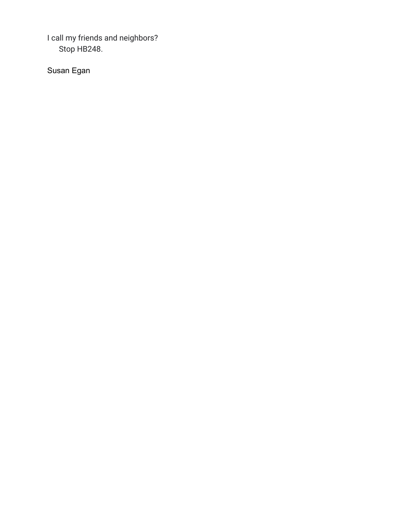I call my friends and neighbors? Stop HB248.

Susan Egan